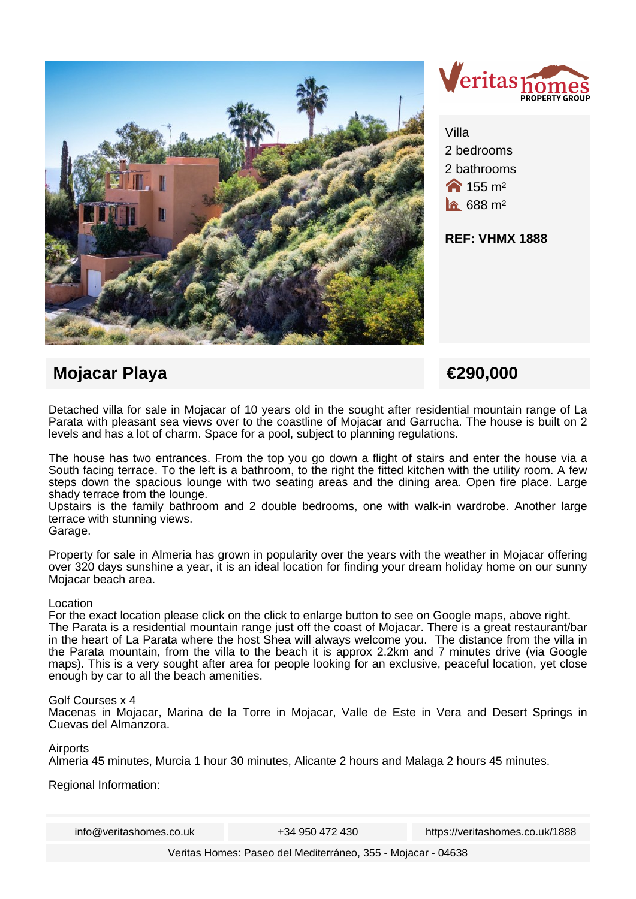



Villa 2 bedrooms 2 bathrooms  $\bigotimes$  155 m<sup>2</sup>  $\hat{a}$  688 m<sup>2</sup>

**REF: VHMX 1888**

# **Mojacar Playa €290,000**

Detached villa for sale in Mojacar of 10 years old in the sought after residential mountain range of La Parata with pleasant sea views over to the coastline of Mojacar and Garrucha. The house is built on 2 levels and has a lot of charm. Space for a pool, subject to planning regulations.

The house has two entrances. From the top you go down a flight of stairs and enter the house via a South facing terrace. To the left is a bathroom, to the right the fitted kitchen with the utility room. A few steps down the spacious lounge with two seating areas and the dining area. Open fire place. Large shady terrace from the lounge.

Upstairs is the family bathroom and 2 double bedrooms, one with walk-in wardrobe. Another large terrace with stunning views.

### Garage.

Property for sale in Almeria has grown in popularity over the years with the weather in Mojacar offering over 320 days sunshine a year, it is an ideal location for finding your dream holiday home on our sunny Mojacar beach area.

### Location

For the exact location please click on the click to enlarge button to see on Google maps, above right. The Parata is a residential mountain range just off the coast of Mojacar. There is a great restaurant/bar in the heart of La Parata where the host Shea will always welcome you. The distance from the villa in the Parata mountain, from the villa to the beach it is approx 2.2km and 7 minutes drive (via Google maps). This is a very sought after area for people looking for an exclusive, peaceful location, yet close enough by car to all the beach amenities.

#### Golf Courses x 4

Macenas in Mojacar, Marina de la Torre in Mojacar, Valle de Este in Vera and Desert Springs in Cuevas del Almanzora.

#### Airports

Almeria 45 minutes, Murcia 1 hour 30 minutes, Alicante 2 hours and Malaga 2 hours 45 minutes.

Regional Information:

info@veritashomes.co.uk +34 950 472 430 https://veritashomes.co.uk/1888

Veritas Homes: Paseo del Mediterráneo, 355 - Mojacar - 04638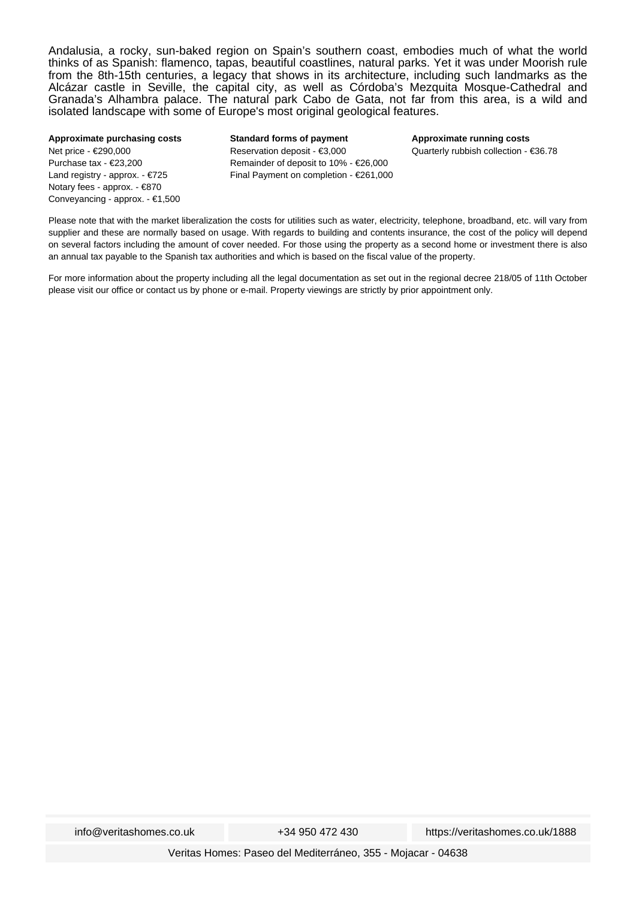Andalusia, a rocky, sun-baked region on Spain's southern coast, embodies much of what the world thinks of as Spanish: flamenco, tapas, beautiful coastlines, natural parks. Yet it was under Moorish rule from the 8th-15th centuries, a legacy that shows in its architecture, including such landmarks as the Alcázar castle in Seville, the capital city, as well as Córdoba's Mezquita Mosque-Cathedral and Granada's Alhambra palace. The natural park Cabo de Gata, not far from this area, is a wild and isolated landscape with some of Europe's most original geological features.

#### **Approximate purchasing costs** Net price - €290,000 Purchase tax - €23,200 Land registry - approx. - €725 Notary fees - approx. - €870 Conveyancing - approx. - €1,500

**Standard forms of payment** Reservation deposit - €3,000 Remainder of deposit to 10% - €26,000 Final Payment on completion - €261,000 **Approximate running costs** Quarterly rubbish collection - €36.78

Please note that with the market liberalization the costs for utilities such as water, electricity, telephone, broadband, etc. will vary from supplier and these are normally based on usage. With regards to building and contents insurance, the cost of the policy will depend on several factors including the amount of cover needed. For those using the property as a second home or investment there is also an annual tax payable to the Spanish tax authorities and which is based on the fiscal value of the property.

For more information about the property including all the legal documentation as set out in the regional decree 218/05 of 11th October please visit our office or contact us by phone or e-mail. Property viewings are strictly by prior appointment only.

Veritas Homes: Paseo del Mediterráneo, 355 - Mojacar - 04638